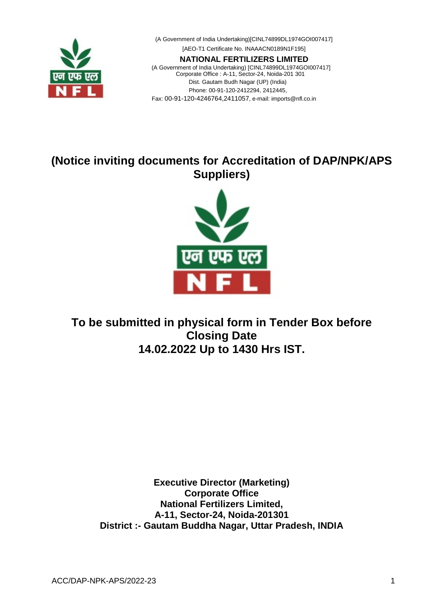

(A Government of India Undertaking)[CINL74899DL1974GOI007417] [AEO-T1 Certificate No. INAAACN0189N1F195] **NATIONAL FERTILIZERS LIMITED** (A Government of India Undertaking) [CINL74899DL1974GOI007417] Corporate Office : A-11, Sector-24, Noida-201 301 Dist. Gautam Budh Nagar (UP) (India) Phone: 00-91-120-2412294, 2412445,

Fax: 00-91-120-4246764,2411057, e-mail: [imports@nfl.co.in](mailto:imports@nfl.co.in)

# **(Notice inviting documents for Accreditation of DAP/NPK/APS Suppliers)**



# **To be submitted in physical form in Tender Box before Closing Date 14.02.2022 Up to 1430 Hrs IST.**

**Executive Director (Marketing) Corporate Office National Fertilizers Limited, A-11, Sector-24, Noida-201301 District :- Gautam Buddha Nagar, Uttar Pradesh, INDIA**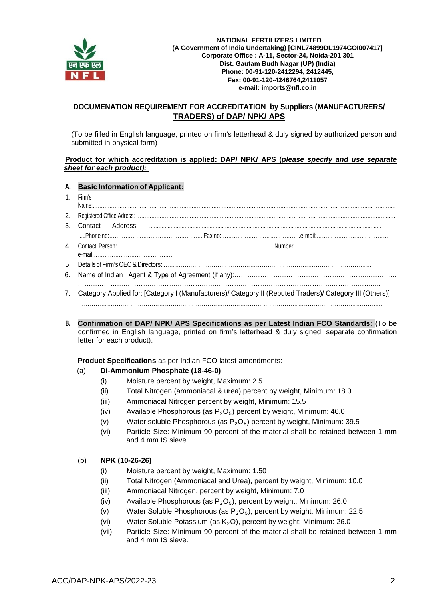

#### **NATIONAL FERTILIZERS LIMITED (A Government of India Undertaking) [CINL74899DL1974GOI007417] Corporate Office : A-11, Sector-24, Noida-201 301 Dist. Gautam Budh Nagar (UP) (India) Phone: 00-91-120-2412294, 2412445, Fax: 00-91-120-4246764,2411057 e-mail: [imports@nfl.co.in](mailto:imports@nfl.co.in)**

## **DOCUMENATION REQUIREMENT FOR ACCREDITATION by Suppliers (MANUFACTURERS/ TRADERS) of DAP/ NPK/ APS**

(To be filled in English language, printed on firm's letterhead & duly signed by authorized person and submitted in physical form)

#### **Product for which accreditation is applied: DAP/ NPK/ APS (***please specify and use separate sheet for each product):*

#### **A. Basic Information of Applicant:**

- 1. Firm's
- Name:………………………………………………………………………………………………………………………………………………………………. 2. Registered Office Adress: …………………………………………………………………………………………………………………………………….…. 3. Contact Address: ………….……………………………………………………………………………………………………..………………… …..Phone no:……………………………………………. Fax no:……………………………………..e-mail:……………….…………………. 4. Contact Person:…………………………………………………………………….…........Number:……………………….………….……… e-mail:……………………………………… 5. Details of Firm's CEO & Directors: ……………………………………………………………………………………………… 6. Name of Indian Agent & Type of Agreement (if any):………………………………………………………………… ………………………………………………………………………………………………………………………….. 7. Category Applied for: [Category I (Manufacturers)/ Category II (Reputed Traders)/ Category III (Others)] …………………………………………………………………………………………………………………………………………..
- **B. Confirmation of DAP/ NPK/ APS Specifications as per Latest Indian FCO Standards:** (To be confirmed in English language, printed on firm's letterhead & duly signed, separate confirmation letter for each product).

**Product Specifications** as per Indian FCO latest amendments:

#### (a) **Di-Ammonium Phosphate (18-46-0)**

- (i) Moisture percent by weight, Maximum: 2.5
- (ii) Total Nitrogen (ammoniacal & urea) percent by weight, Minimum: 18.0
- (iii) Ammoniacal Nitrogen percent by weight, Minimum: 15.5
- (iv) Available Phosphorous (as  $P_2O_5$ ) percent by weight, Minimum: 46.0
- (v) Water soluble Phosphorous (as  $P_2O_5$ ) percent by weight, Minimum: 39.5
- (vi) Particle Size: Minimum 90 percent of the material shall be retained between 1 mm and 4 mm IS sieve.

#### (b) **NPK (10-26-26)**

- (i) Moisture percent by weight, Maximum: 1.50
- (ii) Total Nitrogen (Ammoniacal and Urea), percent by weight, Minimum: 10.0
- (iii) Ammoniacal Nitrogen, percent by weight, Minimum: 7.0
- (iv) Available Phosphorous (as  $P_2O_5$ ), percent by weight, Minimum: 26.0
- (v) Water Soluble Phosphorous (as  $P_2O_5$ ), percent by weight, Minimum: 22.5
- (vi) Water Soluble Potassium (as  $K_2O$ ), percent by weight: Minimum: 26.0
- (vii) Particle Size: Minimum 90 percent of the material shall be retained between 1 mm and 4 mm IS sieve.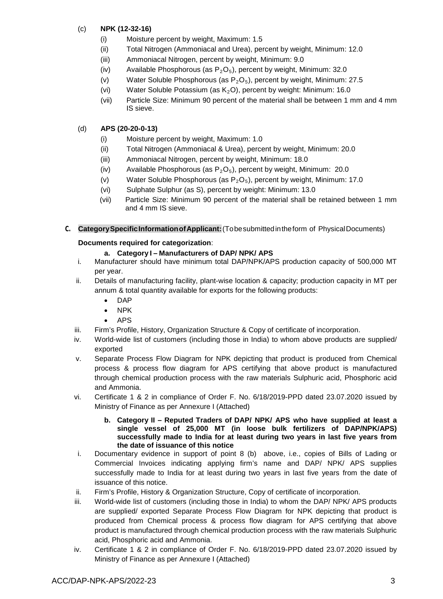## (c) **NPK (12-32-16)**

- (i) Moisture percent by weight, Maximum: 1.5
- (ii) Total Nitrogen (Ammoniacal and Urea), percent by weight, Minimum: 12.0
- (iii) Ammoniacal Nitrogen, percent by weight, Minimum: 9.0
- (iv) Available Phosphorous (as  $P_2O_5$ ), percent by weight, Minimum: 32.0
- (v) Water Soluble Phosphorous (as  $P_2O_5$ ), percent by weight, Minimum: 27.5
- (vi) Water Soluble Potassium (as  $K<sub>2</sub>O$ ), percent by weight: Minimum: 16.0
- (vii) Particle Size: Minimum 90 percent of the material shall be between 1 mm and 4 mm IS sieve.

## (d) **APS (20-20-0-13)**

- (i) Moisture percent by weight, Maximum: 1.0
- (ii) Total Nitrogen (Ammoniacal & Urea), percent by weight, Minimum: 20.0
- (iii) Ammoniacal Nitrogen, percent by weight, Minimum: 18.0
- (iv) Available Phosphorous (as  $P_2O_5$ ), percent by weight, Minimum: 20.0
- (v) Water Soluble Phosphorous (as  $P_2O_5$ ), percent by weight, Minimum: 17.0
- (vi) Sulphate Sulphur (as S), percent by weight: Minimum: 13.0
- (vii) Particle Size: Minimum 90 percent of the material shall be retained between 1 mm and 4 mm IS sieve.

**C. CategorySpecificInformationofApplicant:**(Tobesubmittedintheform of PhysicalDocuments)

### **Documents required for categorization**:

## **a. Category I – Manufacturers of DAP/ NPK/ APS**

- i. Manufacturer should have minimum total DAP/NPK/APS production capacity of 500,000 MT per year.
- ii. Details of manufacturing facility, plant-wise location & capacity; production capacity in MT per annum & total quantity available for exports for the following products:
	- DAP
	- NPK
	- APS
- iii. Firm's Profile, History, Organization Structure & Copy of certificate of incorporation.
- iv. World-wide list of customers (including those in India) to whom above products are supplied/ exported
- v. Separate Process Flow Diagram for NPK depicting that product is produced from Chemical process & process flow diagram for APS certifying that above product is manufactured through chemical production process with the raw materials Sulphuric acid, Phosphoric acid and Ammonia.
- vi. Certificate 1 & 2 in compliance of Order F. No. 6/18/2019-PPD dated 23.07.2020 issued by Ministry of Finance as per Annexure I (Attached)
	- **b. Category II – Reputed Traders of DAP/ NPK/ APS who have supplied at least a single vessel of 25,000 MT (in loose bulk fertilizers of DAP/NPK/APS) successfully made to India for at least during two years in last five years from the date of issuance of this notice**
- i. Documentary evidence in support of point 8 (b) above, i.e., copies of Bills of Lading or Commercial Invoices indicating applying firm's name and DAP/ NPK/ APS supplies successfully made to India for at least during two years in last five years from the date of issuance of this notice.
- ii. Firm's Profile, History & Organization Structure, Copy of certificate of incorporation.
- iii. World-wide list of customers (including those in India) to whom the DAP/ NPK/ APS products are supplied/ exported Separate Process Flow Diagram for NPK depicting that product is produced from Chemical process & process flow diagram for APS certifying that above product is manufactured through chemical production process with the raw materials Sulphuric acid, Phosphoric acid and Ammonia.
- iv. Certificate 1 & 2 in compliance of Order F. No. 6/18/2019-PPD dated 23.07.2020 issued by Ministry of Finance as per Annexure I (Attached)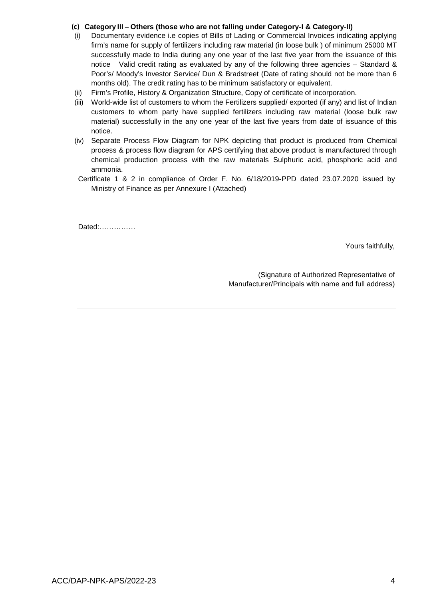### **(c) Category III – Others (those who are not falling under Category-I & Category-II)**

- (i) Documentary evidence i.e copies of Bills of Lading or Commercial Invoices indicating applying firm's name for supply of fertilizers including raw material (in loose bulk ) of minimum 25000 MT successfully made to India during any one year of the last five year from the issuance of this notice Valid credit rating as evaluated by any of the following three agencies – Standard & Poor's/ Moody's Investor Service/ Dun & Bradstreet (Date of rating should not be more than 6 months old). The credit rating has to be minimum satisfactory or equivalent.
- (ii) Firm's Profile, History & Organization Structure, Copy of certificate of incorporation.
- (iii) World-wide list of customers to whom the Fertilizers supplied/ exported (if any) and list of Indian customers to whom party have supplied fertilizers including raw material (loose bulk raw material) successfully in the any one year of the last five years from date of issuance of this notice.
- (iv) Separate Process Flow Diagram for NPK depicting that product is produced from Chemical process & process flow diagram for APS certifying that above product is manufactured through chemical production process with the raw materials Sulphuric acid, phosphoric acid and ammonia.
- Certificate 1 & 2 in compliance of Order F. No. 6/18/2019-PPD dated 23.07.2020 issued by Ministry of Finance as per Annexure I (Attached)

Dated:……………

Yours faithfully,

(Signature of Authorized Representative of Manufacturer/Principals with name and full address)